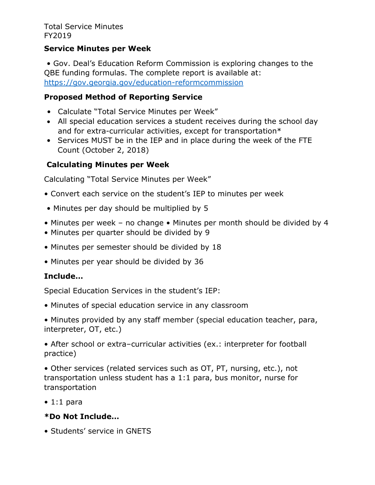Total Service Minutes FY2019

### **Service Minutes per Week**

• Gov. Deal's Education Reform Commission is exploring changes to the QBE funding formulas. The complete report is available at: <https://gov.georgia.gov/education-reformcommission>

## **Proposed Method of Reporting Service**

- Calculate "Total Service Minutes per Week"
- All special education services a student receives during the school day and for extra-curricular activities, except for transportation\*
- Services MUST be in the IEP and in place during the week of the FTE Count (October 2, 2018)

# **Calculating Minutes per Week**

Calculating "Total Service Minutes per Week"

- Convert each service on the student's IEP to minutes per week
- Minutes per day should be multiplied by 5
- Minutes per week no change Minutes per month should be divided by 4
- Minutes per quarter should be divided by 9
- Minutes per semester should be divided by 18
- Minutes per year should be divided by 36

## **Include…**

Special Education Services in the student's IEP:

• Minutes of special education service in any classroom

• Minutes provided by any staff member (special education teacher, para, interpreter, OT, etc.)

• After school or extra–curricular activities (ex.: interpreter for football practice)

• Other services (related services such as OT, PT, nursing, etc.), not transportation unless student has a 1:1 para, bus monitor, nurse for transportation

 $\bullet$  1:1 para

## **\*Do Not Include…**

• Students' service in GNETS